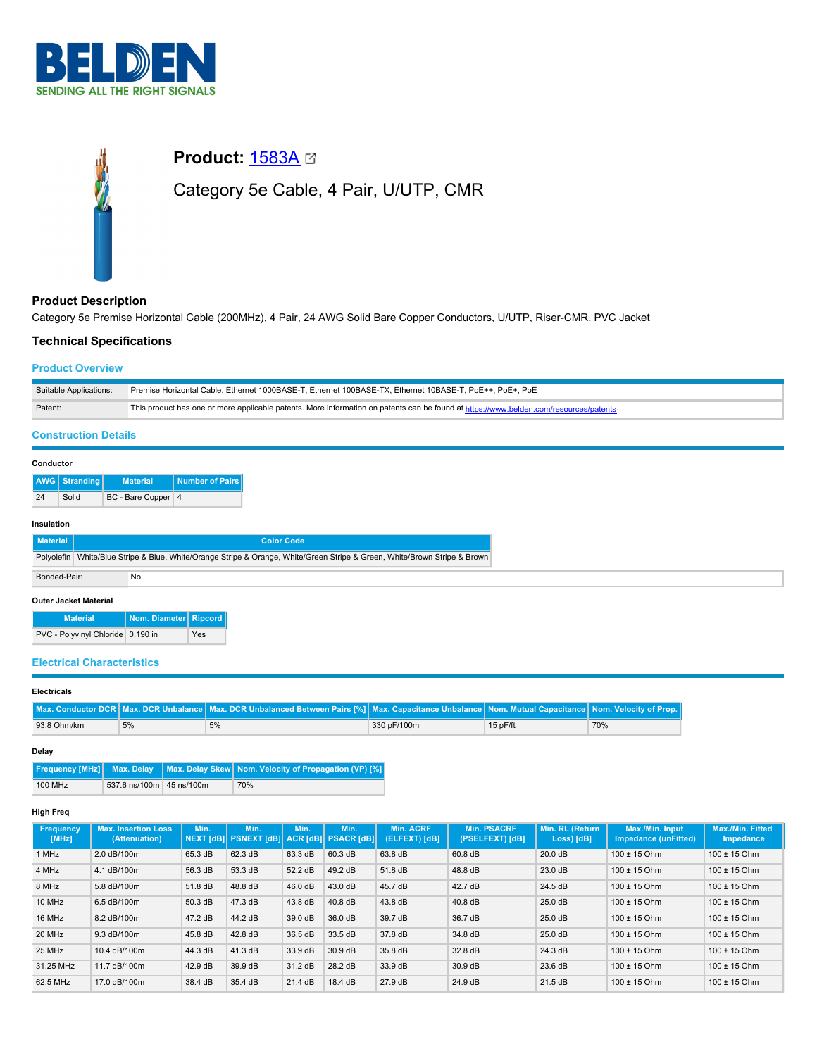



# **Product Description**

Category 5e Premise Horizontal Cable (200MHz), 4 Pair, 24 AWG Solid Bare Copper Conductors, U/UTP, Riser-CMR, PVC Jacket

# **Technical Specifications**

# **Product Overview**

| Suitable Applications:      | Premise Horizontal Cable, Ethernet 1000BASE-T, Ethernet 100BASE-TX, Ethernet 10BASE-T, PoE++, PoE+, PoE                                |  |  |
|-----------------------------|----------------------------------------------------------------------------------------------------------------------------------------|--|--|
| Patent:                     | This product has one or more applicable patents. More information on patents can be found at https://www.belden.com/resources/patents- |  |  |
| <b>Construction Details</b> |                                                                                                                                        |  |  |

### **Conductor**

|    | <b>AWG Stranding</b> | <b>Material</b>    | Number of Pairs |
|----|----------------------|--------------------|-----------------|
| 24 | Solid                | BC - Bare Copper 4 |                 |

#### **Insulation**

| <b>Material</b>              |                                                                                                                | <b>Color Code</b>     |  |  |  |  |  |
|------------------------------|----------------------------------------------------------------------------------------------------------------|-----------------------|--|--|--|--|--|
| Polvolefin                   | White/Blue Stripe & Blue, White/Orange Stripe & Orange, White/Green Stripe & Green, White/Brown Stripe & Brown |                       |  |  |  |  |  |
| Bonded-Pair:                 |                                                                                                                | <b>No</b>             |  |  |  |  |  |
| <b>Outer Jacket Material</b> |                                                                                                                |                       |  |  |  |  |  |
|                              | <b>Material</b>                                                                                                | Nom. Diameter Ripcord |  |  |  |  |  |

PVC - Polyvinyl Chloride 0.190 in Yes

### **Electrical Characteristics**

### **Electricals**

|             |    | Max. Conductor DCR   Max. DCR Unbalance   Max. DCR Unbalanced Between Pairs [%]   Max. Capacitance Unbalance   Nom. Mutual Capacitance   Nom. Velocity of Prop. |             |            |     |
|-------------|----|-----------------------------------------------------------------------------------------------------------------------------------------------------------------|-------------|------------|-----|
| 93.8 Ohm/km | 5% | 5%                                                                                                                                                              | 330 pF/100m | $15p$ F/ft | 70% |

**Delay**

|         |                          | <b>Frequency [MHz]</b> Max. Delay   Max. Delay Skew   Nom. Velocity of Propagation (VP) [%] |
|---------|--------------------------|---------------------------------------------------------------------------------------------|
| 100 MHz | 537.6 ns/100m 45 ns/100m | 70%                                                                                         |

### **High Freq**

| <b>Frequency</b><br>[MHz] | <b>Max. Insertion Loss</b><br>(Attenuation) | Min.    | Min.<br>NEXT [dB]  PSNEXT [dB]  ACR [dB]  PSACR [dB] | Min.    | Min.    | <b>Min. ACRF</b><br>(ELFEXT) [dB] | <b>Min. PSACRF</b><br>(PSELFEXT) [dB], | Min. RL (Return<br>Loss) [dB] | Max./Min. Input<br>Impedance (unFitted) | <b>Max./Min. Fitted</b><br>Impedance |
|---------------------------|---------------------------------------------|---------|------------------------------------------------------|---------|---------|-----------------------------------|----------------------------------------|-------------------------------|-----------------------------------------|--------------------------------------|
| 1 MHz                     | 2.0 dB/100m                                 | 65.3 dB | 62.3 dB                                              | 63.3 dB | 60.3 dB | 63.8 dB                           | 60.8 dB                                | 20.0 dB                       | $100 \pm 15$ Ohm                        | $100 \pm 15$ Ohm                     |
| 4 MHz                     | 4.1 dB/100m                                 | 56.3 dB | 53.3 dB                                              | 52.2 dB | 49.2 dB | 51.8 dB                           | 48.8 dB                                | 23.0 dB                       | $100 \pm 15$ Ohm                        | $100 \pm 15$ Ohm                     |
| 8 MHz                     | 5.8 dB/100m                                 | 51.8 dB | 48.8 dB                                              | 46.0 dB | 43.0 dB | 45.7 dB                           | 42.7 dB                                | 24.5 dB                       | $100 \pm 15$ Ohm                        | $100 \pm 15$ Ohm                     |
| 10 MHz                    | 6.5 dB/100m                                 | 50.3 dB | 47.3 dB                                              | 43.8 dB | 40.8 dB | 43.8 dB                           | 40.8 dB                                | 25.0 dB                       | $100 \pm 15$ Ohm                        | $100 \pm 15$ Ohm                     |
| 16 MHz                    | 8.2 dB/100m                                 | 47.2 dB | 44.2 dB                                              | 39.0 dB | 36.0 dB | 39.7 dB                           | 36.7 dB                                | $25.0$ dB                     | $100 \pm 15$ Ohm                        | $100 \pm 15$ Ohm                     |
| 20 MHz                    | 9.3 dB/100m                                 | 45.8 dB | 42.8 dB                                              | 36.5 dB | 33.5 dB | 37.8 dB                           | 34.8 dB                                | $25.0$ dB                     | $100 \pm 15$ Ohm                        | $100 \pm 15$ Ohm                     |
| 25 MHz                    | 10.4 dB/100m                                | 44.3 dB | 41.3 dB                                              | 33.9 dB | 30.9 dB | 35.8 dB                           | 32.8 dB                                | 24.3 dB                       | $100 \pm 15$ Ohm                        | $100 \pm 15$ Ohm                     |
| 31.25 MHz                 | 11.7 dB/100m                                | 42.9 dB | 39.9 dB                                              | 31.2 dB | 28.2 dB | 33.9 dB                           | 30.9 dB                                | 23.6 dB                       | $100 \pm 15$ Ohm                        | $100 \pm 15$ Ohm                     |
| 62.5 MHz                  | 17.0 dB/100m                                | 38.4 dB | 35.4 dB                                              | 21.4 dB | 18.4 dB | 27.9 dB                           | 24.9 dB                                | 21.5 dB                       | $100 \pm 15$ Ohm                        | $100 \pm 15$ Ohm                     |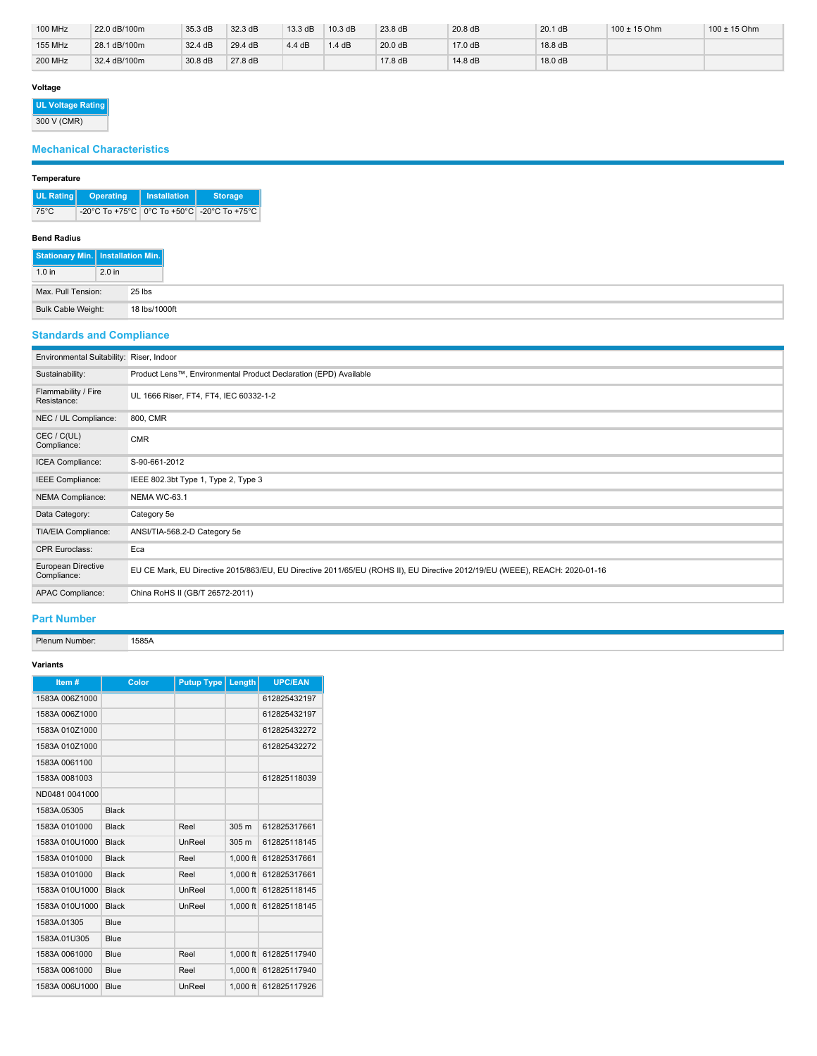| <b>100 MHz</b> | 22.0 dB/100m | 35.3 dB           | 32.3 dB | 13.3 dB | 10.3 dB | 23.8 dB | 20.8 dB | $20.1$ dB | $100 \pm 15$ Ohm | $100 \pm 15$ Ohm |
|----------------|--------------|-------------------|---------|---------|---------|---------|---------|-----------|------------------|------------------|
| <b>155 MHz</b> | 28.1 dB/100m | $32.4 \text{ dB}$ | 29.4 dB | 4.4 dB  | .4 dB   | 20.0 dB | 17.0 dB | 18.8 dB   |                  |                  |
| <b>200 MHz</b> | 32.4 dB/100m | 30.8 dB           | 27.8 dB |         |         | 17.8 dB | 14.8 dB | 18.0 dB   |                  |                  |

# **Voltage**

**UL Voltage Rating**

300 V (CMR)

# **Mechanical Characteristics**

# **Temperature**

| UL Rating      | <b>Operating</b>                               | Installation | <b>Storage</b> |  |
|----------------|------------------------------------------------|--------------|----------------|--|
| $75^{\circ}$ C | -20°C To +75°C   0°C To +50°C   -20°C To +75°C |              |                |  |

### **Bend Radius**

| Stationary Min.   Installation Min. |                   |               |
|-------------------------------------|-------------------|---------------|
| 1.0 <sub>in</sub>                   | 2.0 <sub>in</sub> |               |
| Max, Pull Tension:                  |                   | 25 lbs        |
| <b>Bulk Cable Weight:</b>           |                   | 18 lbs/1000ft |

# **Standards and Compliance**

| Environmental Suitability: Riser, Indoor |                                                                                                                            |
|------------------------------------------|----------------------------------------------------------------------------------------------------------------------------|
| Sustainability:                          | Product Lens™, Environmental Product Declaration (EPD) Available                                                           |
| Flammability / Fire<br>Resistance:       | UL 1666 Riser, FT4, FT4, IEC 60332-1-2                                                                                     |
| NEC / UL Compliance:                     | 800, CMR                                                                                                                   |
| CEC / C(UL)<br>Compliance:               | <b>CMR</b>                                                                                                                 |
| ICEA Compliance:                         | S-90-661-2012                                                                                                              |
| IEEE Compliance:                         | IEEE 802.3bt Type 1, Type 2, Type 3                                                                                        |
| NEMA Compliance:                         | NEMA WC-63.1                                                                                                               |
| Data Category:                           | Category 5e                                                                                                                |
| TIA/EIA Compliance:                      | ANSI/TIA-568.2-D Category 5e                                                                                               |
| <b>CPR Euroclass:</b>                    | Eca                                                                                                                        |
| European Directive<br>Compliance:        | EU CE Mark, EU Directive 2015/863/EU, EU Directive 2011/65/EU (ROHS II), EU Directive 2012/19/EU (WEEE), REACH: 2020-01-16 |
| APAC Compliance:                         | China RoHS II (GB/T 26572-2011)                                                                                            |

# **Part Number**

Plenum Number: 1585A

### **Variants**

| Item#          | Color        | <b>Putup Type</b> | Length           | <b>UPC/EAN</b> |
|----------------|--------------|-------------------|------------------|----------------|
| 1583A 006Z1000 |              |                   |                  | 612825432197   |
| 1583A 006Z1000 |              |                   |                  | 612825432197   |
| 1583A 010Z1000 |              |                   |                  | 612825432272   |
| 1583A 010Z1000 |              |                   |                  | 612825432272   |
| 1583A 0061100  |              |                   |                  |                |
| 1583A 0081003  |              |                   |                  | 612825118039   |
| ND0481 0041000 |              |                   |                  |                |
| 1583A.05305    | <b>Black</b> |                   |                  |                |
| 1583A 0101000  | <b>Black</b> | Reel              | 305 <sub>m</sub> | 612825317661   |
| 1583A 010U1000 | <b>Black</b> | UnReel            | 305 m            | 612825118145   |
| 1583A 0101000  | <b>Black</b> | Reel              | $1.000$ ft       | 612825317661   |
| 1583A 0101000  | <b>Black</b> | Reel              | $1.000$ ft       | 612825317661   |
| 1583A 010U1000 | <b>Black</b> | UnReel            | $1.000$ ft       | 612825118145   |
| 1583A 010U1000 | <b>Black</b> | UnReel            | $1.000$ ft       | 612825118145   |
| 1583A.01305    | Blue         |                   |                  |                |
| 1583A.01U305   | Blue         |                   |                  |                |
| 1583A 0061000  | Blue         | Reel              | $1,000$ ft       | 612825117940   |
| 1583A 0061000  | Blue         | Reel              | $1,000$ ft       | 612825117940   |
| 1583A 006U1000 | Blue         | UnReel            | $1.000$ ft       | 612825117926   |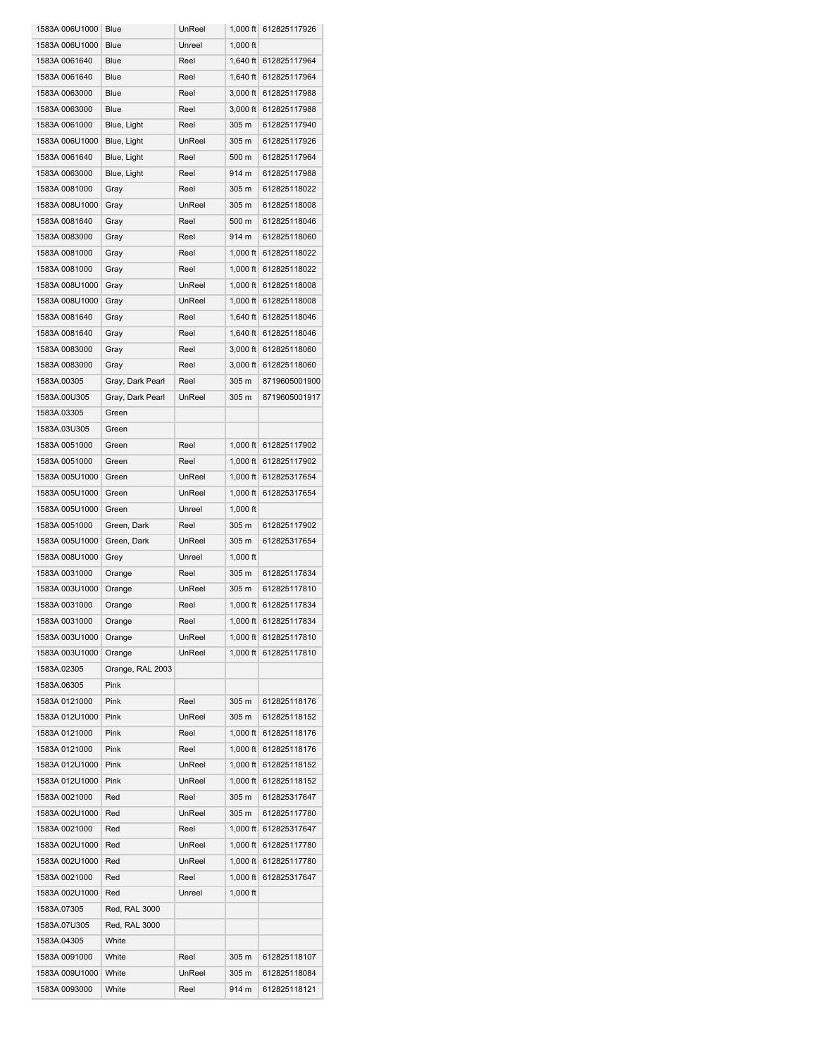| 1583A 006U1000 | Blue             | UnReel | $1,000$ ft | 612825117926          |
|----------------|------------------|--------|------------|-----------------------|
| 1583A 006U1000 | Blue             | Unreel | $1,000$ ft |                       |
| 1583A 0061640  | Blue             | Reel   | $1.640$ ft | 612825117964          |
|                |                  |        |            |                       |
| 1583A 0061640  | Blue             | Reel   | $1,640$ ft | 612825117964          |
| 1583A 0063000  | Blue             | Reel   | 3.000 ft   | 612825117988          |
| 1583A 0063000  | Blue             | Reel   | $3,000$ ft | 612825117988          |
| 1583A 0061000  | Blue, Light      | Reel   | 305 m      | 612825117940          |
| 1583A 006U1000 | Blue, Light      | UnReel | 305 m      | 612825117926          |
| 1583A 0061640  | Blue, Light      | Reel   | 500 m      | 612825117964          |
| 1583A 0063000  | Blue, Light      | Reel   | 914 m      | 612825117988          |
| 1583A 0081000  | Gray             | Reel   | 305 m      | 612825118022          |
| 1583A 008U1000 | Gray             | UnReel | 305 m      | 612825118008          |
| 1583A 0081640  | Gray             | Reel   | 500 m      | 612825118046          |
|                |                  |        |            |                       |
| 1583A 0083000  | Gray             | Reel   | 914 m      | 612825118060          |
| 1583A 0081000  | Gray             | Reel   | $1,000$ ft | 612825118022          |
| 1583A 0081000  | Gray             | Reel   | $1,000$ ft | 612825118022          |
| 1583A 008U1000 | Gray             | UnReel | $1.000$ ft | 612825118008          |
| 1583A 008U1000 | Gray             | UnReel | $1,000$ ft | 612825118008          |
| 1583A 0081640  | Gray             | Reel   | 1,640 ft   | 612825118046          |
| 1583A 0081640  | Gray             | Reel   | $1,640$ ft | 612825118046          |
| 1583A 0083000  | Gray             | Reel   | $3,000$ ft | 612825118060          |
| 1583A 0083000  | Gray             | Reel   | $3,000$ ft | 612825118060          |
| 1583A.00305    | Gray, Dark Pearl | Reel   | 305 m      | 8719605001900         |
| 1583A.00U305   | Gray, Dark Pearl | UnReel | 305 m      | 8719605001917         |
| 1583A.03305    | Green            |        |            |                       |
|                |                  |        |            |                       |
| 1583A.03U305   | Green            |        |            |                       |
| 1583A 0051000  | Green            | Reel   | 1,000 ft   | 612825117902          |
| 1583A 0051000  | Green            | Reel   | $1,000$ ft | 612825117902          |
| 1583A 005U1000 | Green            | UnReel | $1,000$ ft | 612825317654          |
| 1583A 005U1000 | Green            | UnReel | $1,000$ ft | 612825317654          |
| 1583A 005U1000 | Green            | Unreel | $1,000$ ft |                       |
| 1583A 0051000  | Green, Dark      | Reel   | 305 m      | 612825117902          |
| 1583A 005U1000 | Green, Dark      | UnReel | 305 m      | 612825317654          |
| 1583A 008U1000 | Grey             | Unreel | $1,000$ ft |                       |
| 1583A 0031000  | Orange           | Reel   | 305 m      | 612825117834          |
| 1583A 003U1000 | Orange           | UnReel | 305 m      | 612825117810          |
| 1583A 0031000  | Orange           | Reel   | $1.000$ ft | 612825117834          |
| 1583A 0031000  | Orange           | Reel   |            | 1,000 ft 612825117834 |
|                |                  |        |            |                       |
| 1583A 003U1000 | Orange           | UnReel |            | 1,000 ft 612825117810 |
| 1583A 003U1000 | Orange           | UnReel |            | 1,000 ft 612825117810 |
| 1583A.02305    | Orange, RAL 2003 |        |            |                       |
| 1583A.06305    | Pink             |        |            |                       |
| 1583A 0121000  | Pink             | Reel   | 305 m      | 612825118176          |
| 1583A 012U1000 | Pink             | UnReel | 305 m      | 612825118152          |
| 1583A 0121000  | Pink             | Reel   |            | 1,000 ft 612825118176 |
| 1583A 0121000  | Pink             | Reel   |            | 1,000 ft 612825118176 |
| 1583A 012U1000 | Pink             | UnReel |            | 1,000 ft 612825118152 |
| 1583A 012U1000 | Pink             | UnReel | $1,000$ ft | 612825118152          |
| 1583A 0021000  | Red              | Reel   | 305 m      | 612825317647          |
| 1583A 002U1000 | Red              | UnReel | 305 m      | 612825117780          |
| 1583A 0021000  |                  | Reel   |            | 1,000 ft 612825317647 |
|                | Red              |        |            |                       |
| 1583A 002U1000 | Red              | UnReel |            | 1,000 ft 612825117780 |
| 1583A 002U1000 | Red              | UnReel |            | 1,000 ft 612825117780 |
| 1583A 0021000  | Red              | Reel   | $1,000$ ft | 612825317647          |
| 1583A 002U1000 | Red              | Unreel | $1,000$ ft |                       |
| 1583A.07305    | Red, RAL 3000    |        |            |                       |
| 1583A.07U305   | Red, RAL 3000    |        |            |                       |
| 1583A.04305    | White            |        |            |                       |
| 1583A 0091000  | White            | Reel   | 305 m      | 612825118107          |
| 1583A 009U1000 | White            | UnReel | 305 m      | 612825118084          |
| 1583A 0093000  | White            | Reel   | 914 m      | 612825118121          |
|                |                  |        |            |                       |